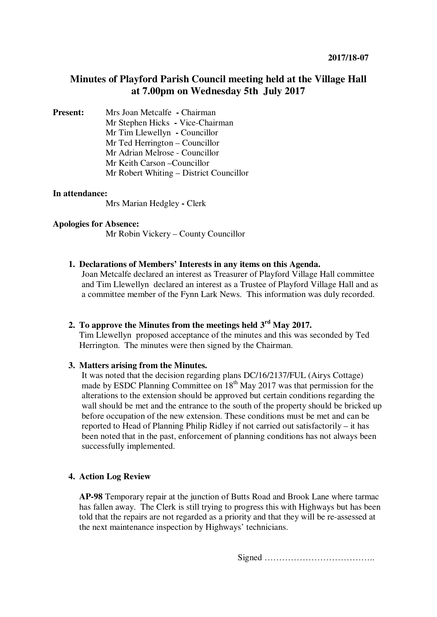# **Minutes of Playford Parish Council meeting held at the Village Hall at 7.00pm on Wednesday 5th July 2017**

**Present:** Mrs Joan Metcalfe **- Chairman** Mr Stephen Hicks **-** Vice-Chairman Mr Tim Llewellyn **-** Councillor Mr Ted Herrington – Councillor Mr Adrian Melrose - Councillor Mr Keith Carson –Councillor Mr Robert Whiting – District Councillor

#### **In attendance:**

Mrs Marian Hedgley **-** Clerk

#### **Apologies for Absence:**

Mr Robin Vickery – County Councillor

#### **1. Declarations of Members' Interests in any items on this Agenda.**

Joan Metcalfe declared an interest as Treasurer of Playford Village Hall committee and Tim Llewellyn declared an interest as a Trustee of Playford Village Hall and as a committee member of the Fynn Lark News. This information was duly recorded.

# **2. To approve the Minutes from the meetings held 3rd May 2017.**

Tim Llewellyn proposed acceptance of the minutes and this was seconded by Ted Herrington. The minutes were then signed by the Chairman.

#### **3. Matters arising from the Minutes.**

It was noted that the decision regarding plans DC/16/2137/FUL (Airys Cottage) made by ESDC Planning Committee on  $18<sup>th</sup>$  May 2017 was that permission for the alterations to the extension should be approved but certain conditions regarding the wall should be met and the entrance to the south of the property should be bricked up before occupation of the new extension. These conditions must be met and can be reported to Head of Planning Philip Ridley if not carried out satisfactorily – it has been noted that in the past, enforcement of planning conditions has not always been successfully implemented.

# **4. Action Log Review**

**AP-98** Temporary repair at the junction of Butts Road and Brook Lane where tarmac has fallen away. The Clerk is still trying to progress this with Highways but has been told that the repairs are not regarded as a priority and that they will be re-assessed at the next maintenance inspection by Highways' technicians.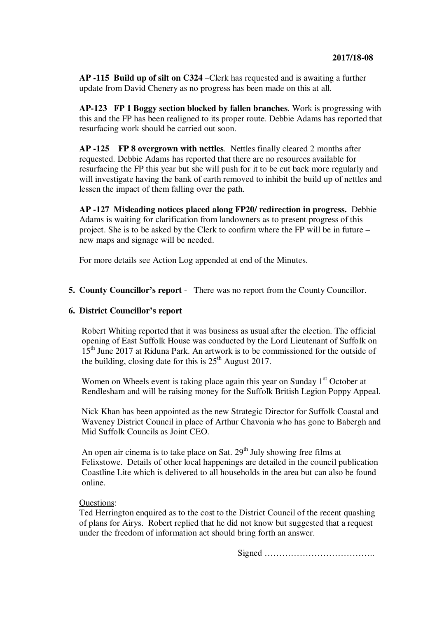**AP -115 Build up of silt on C324** –Clerk has requested and is awaiting a further update from David Chenery as no progress has been made on this at all.

**AP-123 FP 1 Boggy section blocked by fallen branches**. Work is progressing with this and the FP has been realigned to its proper route. Debbie Adams has reported that resurfacing work should be carried out soon.

**AP -125 FP 8 overgrown with nettles**. Nettles finally cleared 2 months after requested. Debbie Adams has reported that there are no resources available for resurfacing the FP this year but she will push for it to be cut back more regularly and will investigate having the bank of earth removed to inhibit the build up of nettles and lessen the impact of them falling over the path.

**AP -127 Misleading notices placed along FP20/ redirection in progress.** Debbie Adams is waiting for clarification from landowners as to present progress of this project. She is to be asked by the Clerk to confirm where the FP will be in future – new maps and signage will be needed.

For more details see Action Log appended at end of the Minutes.

#### **5. County Councillor's report** - There was no report from the County Councillor.

#### **6. District Councillor's report**

Robert Whiting reported that it was business as usual after the election. The official opening of East Suffolk House was conducted by the Lord Lieutenant of Suffolk on 15<sup>th</sup> June 2017 at Riduna Park. An artwork is to be commissioned for the outside of the building, closing date for this is  $25<sup>th</sup>$  August 2017.

Women on Wheels event is taking place again this year on Sunday  $1<sup>st</sup>$  October at Rendlesham and will be raising money for the Suffolk British Legion Poppy Appeal.

Nick Khan has been appointed as the new Strategic Director for Suffolk Coastal and Waveney District Council in place of Arthur Chavonia who has gone to Babergh and Mid Suffolk Councils as Joint CEO.

An open air cinema is to take place on Sat.  $29<sup>th</sup>$  July showing free films at Felixstowe. Details of other local happenings are detailed in the council publication Coastline Lite which is delivered to all households in the area but can also be found online.

# Questions:

Ted Herrington enquired as to the cost to the District Council of the recent quashing of plans for Airys. Robert replied that he did not know but suggested that a request under the freedom of information act should bring forth an answer.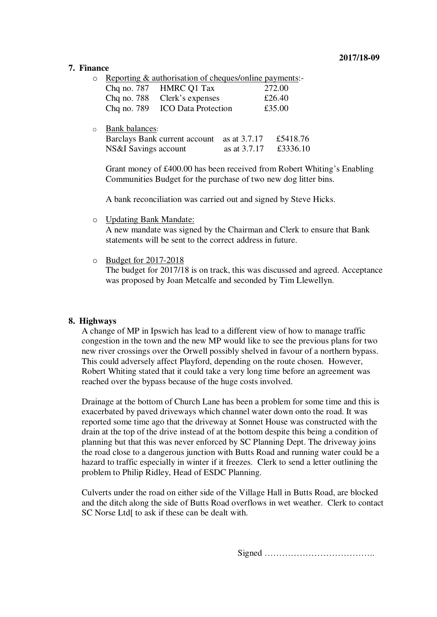#### **7. Finance**

 $\circ$  Reporting & authorisation of cheques/online payments:-

|  | $\sim$ 1.0 $\sim$ 1.0 $\sim$ 0.0 $\sim$ 0.0 $\sim$ 0.0 $\sim$ 0.0 $\sim$ 0.0 $\sim$ 0.0 $\sim$ 0.0 $\sim$ 0.0 $\sim$ 0.0 $\sim$ 0.0 $\sim$ 0.0 $\sim$ 0.0 $\sim$ 0.0 $\sim$ 0.0 $\sim$ 0.0 $\sim$ 0.0 $\sim$ 0.0 $\sim$ 0.0 $\sim$ 0.0 $\sim$ 0.0 $\sim$ 0.0 $\sim$ 0.0 $\sim$ |        |
|--|--------------------------------------------------------------------------------------------------------------------------------------------------------------------------------------------------------------------------------------------------------------------------------|--------|
|  | Chq no. 787 HMRC Q1 Tax                                                                                                                                                                                                                                                        | 272.00 |
|  | Chq no. 788 Clerk's expenses                                                                                                                                                                                                                                                   | £26.40 |
|  | Chq no. 789 ICO Data Protection                                                                                                                                                                                                                                                | £35.00 |
|  |                                                                                                                                                                                                                                                                                |        |

o Bank balances:

| Barclays Bank current account as at 3.7.17 |                | £5418.76 |
|--------------------------------------------|----------------|----------|
| NS&I Savings account                       | as at $3.7.17$ | £3336.10 |

Grant money of £400.00 has been received from Robert Whiting's Enabling Communities Budget for the purchase of two new dog litter bins.

A bank reconciliation was carried out and signed by Steve Hicks.

o Updating Bank Mandate:

A new mandate was signed by the Chairman and Clerk to ensure that Bank statements will be sent to the correct address in future.

o Budget for 2017-2018

The budget for 2017/18 is on track, this was discussed and agreed. Acceptance was proposed by Joan Metcalfe and seconded by Tim Llewellyn.

# **8. Highways**

A change of MP in Ipswich has lead to a different view of how to manage traffic congestion in the town and the new MP would like to see the previous plans for two new river crossings over the Orwell possibly shelved in favour of a northern bypass. This could adversely affect Playford, depending on the route chosen. However, Robert Whiting stated that it could take a very long time before an agreement was reached over the bypass because of the huge costs involved.

Drainage at the bottom of Church Lane has been a problem for some time and this is exacerbated by paved driveways which channel water down onto the road. It was reported some time ago that the driveway at Sonnet House was constructed with the drain at the top of the drive instead of at the bottom despite this being a condition of planning but that this was never enforced by SC Planning Dept. The driveway joins the road close to a dangerous junction with Butts Road and running water could be a hazard to traffic especially in winter if it freezes. Clerk to send a letter outlining the problem to Philip Ridley, Head of ESDC Planning.

Culverts under the road on either side of the Village Hall in Butts Road, are blocked and the ditch along the side of Butts Road overflows in wet weather. Clerk to contact SC Norse Ltd[ to ask if these can be dealt with.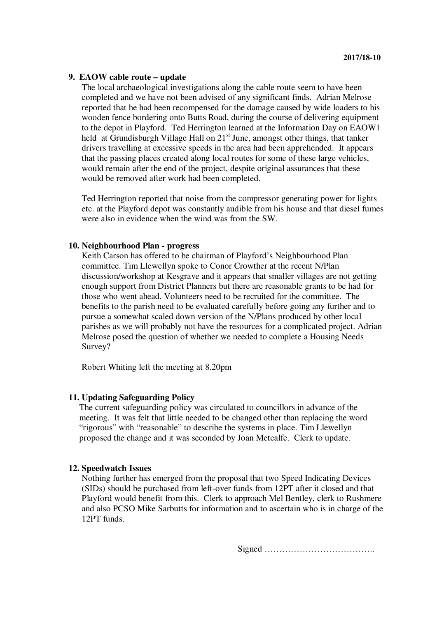### **9. EAOW cable route – update**

The local archaeological investigations along the cable route seem to have been completed and we have not been advised of any significant finds. Adrian Melrose reported that he had been recompensed for the damage caused by wide loaders to his wooden fence bordering onto Butts Road, during the course of delivering equipment to the depot in Playford. Ted Herrington learned at the Information Day on EAOW1 held at Grundisburgh Village Hall on  $21<sup>st</sup>$  June, amongst other things, that tanker drivers travelling at excessive speeds in the area had been apprehended. It appears that the passing places created along local routes for some of these large vehicles, would remain after the end of the project, despite original assurances that these would be removed after work had been completed.

Ted Herrington reported that noise from the compressor generating power for lights etc. at the Playford depot was constantly audible from his house and that diesel fumes were also in evidence when the wind was from the SW.

#### **10. Neighbourhood Plan - progress**

Keith Carson has offered to be chairman of Playford's Neighbourhood Plan committee. Tim Llewellyn spoke to Conor Crowther at the recent N/Plan discussion/workshop at Kesgrave and it appears that smaller villages are not getting enough support from District Planners but there are reasonable grants to be had for those who went ahead. Volunteers need to be recruited for the committee. The benefits to the parish need to be evaluated carefully before going any further and to pursue a somewhat scaled down version of the N/Plans produced by other local parishes as we will probably not have the resources for a complicated project. Adrian Melrose posed the question of whether we needed to complete a Housing Needs Survey?

Robert Whiting left the meeting at 8.20pm

#### **11. Updating Safeguarding Policy**

The current safeguarding policy was circulated to councillors in advance of the meeting. It was felt that little needed to be changed other than replacing the word "rigorous" with "reasonable" to describe the systems in place. Tim Llewellyn proposed the change and it was seconded by Joan Metcalfe. Clerk to update.

#### **12. Speedwatch Issues**

Nothing further has emerged from the proposal that two Speed Indicating Devices (SIDs) should be purchased from left-over funds from 12PT after it closed and that Playford would benefit from this. Clerk to approach Mel Bentley, clerk to Rushmere and also PCSO Mike Sarbutts for information and to ascertain who is in charge of the 12PT funds.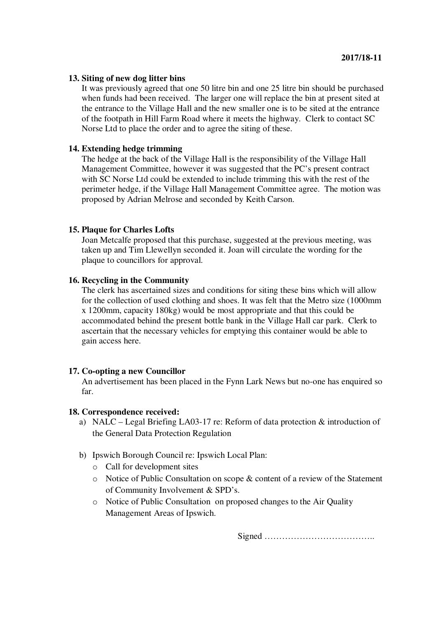### **13. Siting of new dog litter bins**

It was previously agreed that one 50 litre bin and one 25 litre bin should be purchased when funds had been received. The larger one will replace the bin at present sited at the entrance to the Village Hall and the new smaller one is to be sited at the entrance of the footpath in Hill Farm Road where it meets the highway. Clerk to contact SC Norse Ltd to place the order and to agree the siting of these.

# **14. Extending hedge trimming**

The hedge at the back of the Village Hall is the responsibility of the Village Hall Management Committee, however it was suggested that the PC's present contract with SC Norse Ltd could be extended to include trimming this with the rest of the perimeter hedge, if the Village Hall Management Committee agree. The motion was proposed by Adrian Melrose and seconded by Keith Carson.

#### **15. Plaque for Charles Lofts**

Joan Metcalfe proposed that this purchase, suggested at the previous meeting, was taken up and Tim Llewellyn seconded it. Joan will circulate the wording for the plaque to councillors for approval.

### **16. Recycling in the Community**

The clerk has ascertained sizes and conditions for siting these bins which will allow for the collection of used clothing and shoes. It was felt that the Metro size (1000mm x 1200mm, capacity 180kg) would be most appropriate and that this could be accommodated behind the present bottle bank in the Village Hall car park. Clerk to ascertain that the necessary vehicles for emptying this container would be able to gain access here.

#### **17. Co-opting a new Councillor**

An advertisement has been placed in the Fynn Lark News but no-one has enquired so far.

#### **18. Correspondence received:**

- a) NALC Legal Briefing LA03-17 re: Reform of data protection & introduction of the General Data Protection Regulation
- b) Ipswich Borough Council re: Ipswich Local Plan:
	- o Call for development sites
	- o Notice of Public Consultation on scope & content of a review of the Statement of Community Involvement & SPD's.
	- o Notice of Public Consultation on proposed changes to the Air Quality Management Areas of Ipswich.